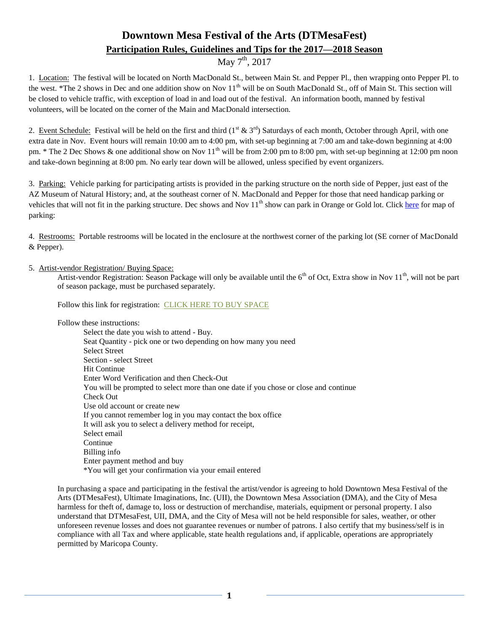# **Downtown Mesa Festival of the Arts (DTMesaFest) Participation Rules, Guidelines and Tips for the 2017—2018 Season**

## May  $7^{\text{th}}$ , 2017

1. Location: The festival will be located on North MacDonald St., between Main St. and Pepper Pl., then wrapping onto Pepper Pl. to the west. \*The 2 shows in Dec and one addition show on Nov 11<sup>th</sup> will be on South MacDonald St., off of Main St. This section will be closed to vehicle traffic, with exception of load in and load out of the festival. An information booth, manned by festival volunteers, will be located on the corner of the Main and MacDonald intersection.

2. Event Schedule: Festival will be held on the first and third  $(1<sup>st</sup> \& 3<sup>rd</sup>)$  Saturdays of each month, October through April, with one extra date in Nov. Event hours will remain 10:00 am to 4:00 pm, with set-up beginning at 7:00 am and take-down beginning at 4:00 pm. \* The 2 Dec Shows & one additional show on Nov  $11^{th}$  will be from 2:00 pm to 8:00 pm, with set-up beginning at 12:00 pm noon and take-down beginning at 8:00 pm. No early tear down will be allowed, unless specified by event organizers.

3. Parking: Vehicle parking for participating artists is provided in the parking structure on the north side of Pepper, just east of the AZ Museum of Natural History; and, at the southeast corner of N. MacDonald and Pepper for those that need handicap parking or vehicles that will not fit in the parking structure. Dec shows and Nov  $11<sup>th</sup>$  show can park in Orange or Gold lot. Click [here](http://www.downtownmesa.com/wp-content/uploads/2013/05/Downtown-PARK-Map_FEB2013.pdf) for map of parking:

4. Restrooms: Portable restrooms will be located in the enclosure at the northwest corner of the parking lot (SE corner of MacDonald & Pepper).

### 5. Artist-vendor Registration/ Buying Space:

Artist-vendor Registration: Season Package will only be available until the  $6<sup>th</sup>$  of Oct, Extra show in Nov  $11<sup>th</sup>$ , will not be part of season package, must be purchased separately.

Follow this link for registration: [CLICK HERE TO BUY SPACE](https://boxoffice.mesaartscenter.com/Online/default.asp?doWork::WScontent::loadArticle=Load&BOparam::WScontent::loadArticle::article_id=025BACD1-6D8F-44EB-B631-8D65820F86CB)

Follow these instructions:

Select the date you wish to attend - Buy. Seat Quantity - pick one or two depending on how many you need Select Street Section - select Street Hit Continue Enter Word Verification and then Check-Out You will be prompted to select more than one date if you chose or close and continue Check Out Use old account or create new If you cannot remember log in you may contact the box office It will ask you to select a delivery method for receipt, Select email Continue Billing info Enter payment method and buy \*You will get your confirmation via your email entered

In purchasing a space and participating in the festival the artist/vendor is agreeing to hold Downtown Mesa Festival of the Arts (DTMesaFest), Ultimate Imaginations, Inc. (UII), the Downtown Mesa Association (DMA), and the City of Mesa harmless for theft of, damage to, loss or destruction of merchandise, materials, equipment or personal property. I also understand that DTMesaFest, UII, DMA, and the City of Mesa will not be held responsible for sales, weather, or other unforeseen revenue losses and does not guarantee revenues or number of patrons. I also certify that my business/self is in compliance with all Tax and where applicable, state health regulations and, if applicable, operations are appropriately permitted by Maricopa County.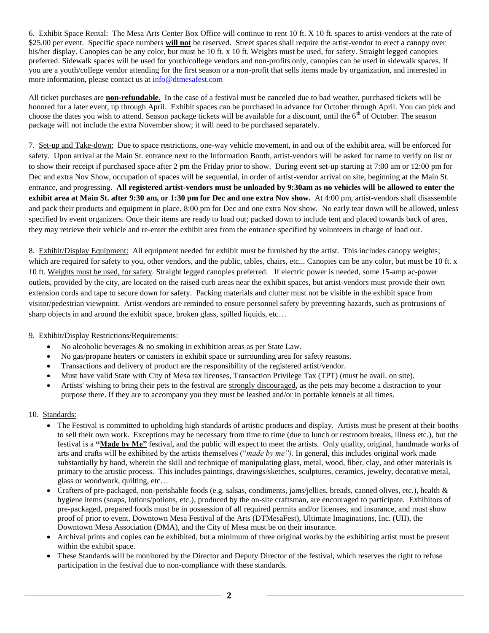6. Exhibit Space Rental: The Mesa Arts Center Box Office will continue to rent 10 ft. X 10 ft. spaces to artist-vendors at the rate of \$25.00 per event. Specific space numbers **will not** be reserved. Street spaces shall require the artist-vendor to erect a canopy over his/her display. Canopies can be any color, but must be 10 ft. x 10 ft. Weights must be used, for safety. Straight legged canopies preferred. Sidewalk spaces will be used for youth/college vendors and non-profits only, canopies can be used in sidewalk spaces. If you are a youth/college vendor attending for the first season or a non-profit that sells items made by organization, and interested in more information, please contact us at  $\frac{info@dt{m}esafest.com}{info@dt{m}}$ 

All ticket purchases are **non-refundable**. In the case of a festival must be canceled due to bad weather, purchased tickets will be honored for a later event, up through April. Exhibit spaces can be purchased in advance for October through April. You can pick and choose the dates you wish to attend. Season package tickets will be available for a discount, until the  $6<sup>th</sup>$  of October. The season package will not include the extra November show; it will need to be purchased separately.

7. Set-up and Take-down: Due to space restrictions, one-way vehicle movement, in and out of the exhibit area, will be enforced for safety. Upon arrival at the Main St. entrance next to the Information Booth, artist-vendors will be asked for name to verify on list or to show their receipt if purchased space after 2 pm the Friday prior to show. During event set-up starting at 7:00 am or 12:00 pm for Dec and extra Nov Show, occupation of spaces will be sequential, in order of artist-vendor arrival on site, beginning at the Main St. entrance, and progressing. **All registered artist-vendors must be unloaded by 9:30am as no vehicles will be allowed to enter the exhibit area at Main St. after 9:30 am, or 1:30 pm for Dec and one extra Nov show.** At 4:00 pm, artist-vendors shall disassemble and pack their products and equipment in place. 8:00 pm for Dec and one extra Nov show. No early tear down will be allowed, unless specified by event organizers. Once their items are ready to load out; packed down to include tent and placed towards back of area, they may retrieve their vehicle and re-enter the exhibit area from the entrance specified by volunteers in charge of load out.

8. Exhibit/Display Equipment: All equipment needed for exhibit must be furnished by the artist. This includes canopy weights; which are required for safety to you, other vendors, and the public, tables, chairs, etc... Canopies can be any color, but must be 10 ft. x 10 ft. Weights must be used, for safety. Straight legged canopies preferred. If electric power is needed, some 15-amp ac-power outlets, provided by the city, are located on the raised curb areas near the exhibit spaces, but artist-vendors must provide their own extension cords and tape to secure down for safety. Packing materials and clutter must not be visible in the exhibit space from visitor/pedestrian viewpoint. Artist-vendors are reminded to ensure personnel safety by preventing hazards, such as protrusions of sharp objects in and around the exhibit space, broken glass, spilled liquids, etc…

### 9. Exhibit/Display Restrictions/Requirements:

- $\bullet$  No alcoholic beverages  $\&$  no smoking in exhibition areas as per State Law.
- No gas/propane heaters or canisters in exhibit space or surrounding area for safety reasons.
- Transactions and delivery of product are the responsibility of the registered artist/vendor.
- Must have valid State with City of Mesa tax licenses, Transaction Privilege Tax (TPT) (must be avail. on site).
- Artists' wishing to bring their pets to the festival are strongly discouraged, as the pets may become a distraction to your purpose there. If they are to accompany you they must be leashed and/or in portable kennels at all times.

### 10. Standards:

- The Festival is committed to upholding high standards of artistic products and display. Artists must be present at their booths to sell their own work. Exceptions may be necessary from time to time (due to lunch or restroom breaks, illness etc.), but the festival is a **"Made by Me"** festival, and the public will expect to meet the artists. Only quality, original, handmade works of arts and crafts will be exhibited by the artists themselves ("*made by me").* In general, this includes original work made substantially by hand, wherein the skill and technique of manipulating glass, metal, wood, fiber, clay, and other materials is primary to the artistic process. This includes paintings, drawings/sketches, sculptures, ceramics, jewelry, decorative metal, glass or woodwork, quilting, etc…
- Crafters of pre-packaged, non-perishable foods (e.g. salsas, condiments, jams/jellies, breads, canned olives, etc.), health  $\&$ hygiene items (soaps, lotions/potions, etc.), produced by the on-site craftsman, are encouraged to participate. Exhibitors of pre-packaged, prepared foods must be in possession of all required permits and/or licenses, and insurance, and must show proof of prior to event. Downtown Mesa Festival of the Arts (DTMesaFest), Ultimate Imaginations, Inc. (UII), the Downtown Mesa Association (DMA), and the City of Mesa must be on their insurance.
- Archival prints and copies can be exhibited, but a minimum of three original works by the exhibiting artist must be present within the exhibit space.
- These Standards will be monitored by the Director and Deputy Director of the festival, which reserves the right to refuse participation in the festival due to non-compliance with these standards.